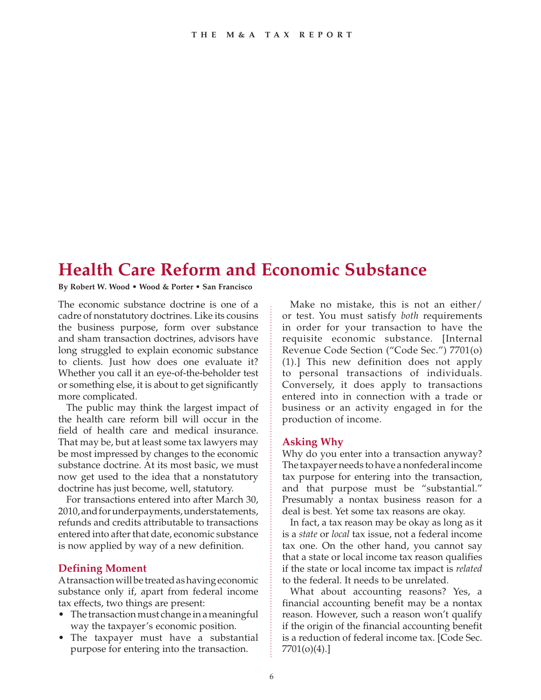# **Health Care Reform and Economic Substance**

#### **By Robert W. Wood • Wood & Porter • San Francisco**

The economic substance doctrine is one of a cadre of nonstatutory doctrines. Like its cousins the business purpose, form over substance and sham transaction doctrines, advisors have long struggled to explain economic substance to clients. Just how does one evaluate it? Whether you call it an eye-of-the-beholder test or something else, it is about to get significantly more complicated.

The public may think the largest impact of the health care reform bill will occur in the field of health care and medical insurance. That may be, but at least some tax lawyers may be most impressed by changes to the economic substance doctrine. At its most basic, we must now get used to the idea that a nonstatutory doctrine has just become, well, statutory.

For transactions entered into after March 30, 2010, and for underpayments, understatements, refunds and credits attributable to transactions entered into after that date, economic substance is now applied by way of a new definition.

## **Defining Moment**

A transaction will be treated as having economic substance only if, apart from federal income tax effects, two things are present:

- The transaction must change in a meaningful way the taxpayer's economic position.
- The taxpayer must have a substantial purpose for entering into the transaction.

Make no mistake, this is not an either/ or test. You must satisfy *both* requirements in order for your transaction to have the requisite economic substance. [Internal Revenue Code Section ("Code Sec.") 7701(o) (1).] This new definition does not apply to personal transactions of individuals. Conversely, it does apply to transactions entered into in connection with a trade or business or an activity engaged in for the production of income.

# **Asking Why**

Why do you enter into a transaction anyway? The taxpayer needs to have a nonfederal income tax purpose for entering into the transaction, and that purpose must be "substantial." Presumably a nontax business reason for a deal is best. Yet some tax reasons are okay.

In fact, a tax reason may be okay as long as it is a *state* or *local* tax issue, not a federal income tax one. On the other hand, you cannot say that a state or local income tax reason qualifies if the state or local income tax impact is *related* to the federal. It needs to be unrelated.

What about accounting reasons? Yes, a financial accounting benefit may be a nontax reason. However, such a reason won't qualify if the origin of the financial accounting benefit is a reduction of federal income tax. [Code Sec. 7701(o)(4).]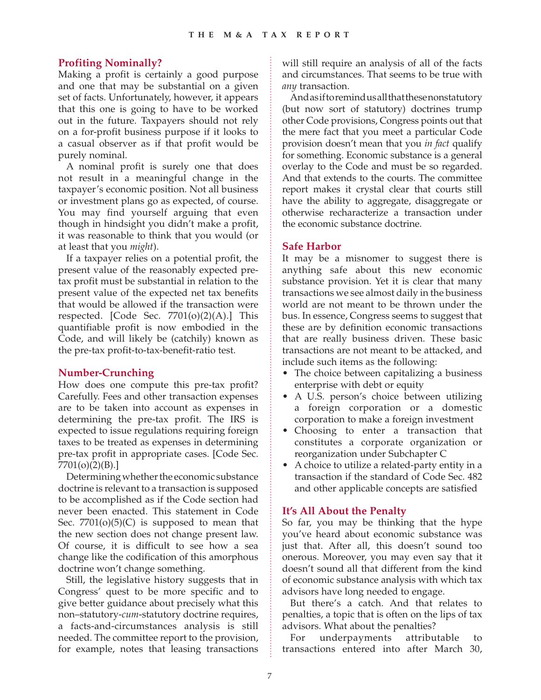### **Profiting Nominally?**

Making a profit is certainly a good purpose and one that may be substantial on a given set of facts. Unfortunately, however, it appears that this one is going to have to be worked out in the future. Taxpayers should not rely on a for-profit business purpose if it looks to a casual observer as if that profit would be purely nominal.

A nominal profit is surely one that does not result in a meaningful change in the taxpayer's economic position. Not all business or investment plans go as expected, of course. You may find yourself arguing that even though in hindsight you didn't make a profit, it was reasonable to think that you would (or at least that you *might*).

If a taxpayer relies on a potential profit, the present value of the reasonably expected pretax profit must be substantial in relation to the present value of the expected net tax benefits that would be allowed if the transaction were respected. [Code Sec. 7701(o)(2)(A).] This quantifiable profit is now embodied in the Code, and will likely be (catchily) known as the pre-tax profit-to-tax-benefit-ratio test.

#### **Number-Crunching**

How does one compute this pre-tax profit? Carefully. Fees and other transaction expenses are to be taken into account as expenses in determining the pre-tax profit. The IRS is expected to issue regulations requiring foreign taxes to be treated as expenses in determining pre-tax profit in appropriate cases. [Code Sec. 7701(o)(2)(B).]

Determining whether the economic substance doctrine is relevant to a transaction is supposed to be accomplished as if the Code section had never been enacted. This statement in Code Sec.  $7701(0)(5)(C)$  is supposed to mean that the new section does not change present law. Of course, it is difficult to see how a sea change like the codification of this amorphous doctrine won't change something.

Still, the legislative history suggests that in Congress' quest to be more specific and to give better guidance about precisely what this non–statutory-*cum*-statutory doctrine requires, a facts-and-circumstances analysis is still needed. The committee report to the provision, for example, notes that leasing transactions will still require an analysis of all of the facts and circumstances. That seems to be true with *any* transaction.

And as if to remind us all that these nonstatutory (but now sort of statutory) doctrines trump other Code provisions, Congress points out that the mere fact that you meet a particular Code provision doesn't mean that you *in fact* qualify for something. Economic substance is a general overlay to the Code and must be so regarded. And that extends to the courts. The committee report makes it crystal clear that courts still have the ability to aggregate, disaggregate or otherwise recharacterize a transaction under the economic substance doctrine.

#### **Safe Harbor**

It may be a misnomer to suggest there is anything safe about this new economic substance provision. Yet it is clear that many transactions we see almost daily in the business world are not meant to be thrown under the bus. In essence, Congress seems to suggest that these are by definition economic transactions that are really business driven. These basic transactions are not meant to be attacked, and include such items as the following:

- The choice between capitalizing a business enterprise with debt or equity
- A U.S. person's choice between utilizing a foreign corporation or a domestic corporation to make a foreign investment
- Choosing to enter a transaction that constitutes a corporate organization or reorganization under Subchapter C
- A choice to utilize a related-party entity in a transaction if the standard of Code Sec. 482 and other applicable concepts are satisfied

#### **It's All About the Penalty**

So far, you may be thinking that the hype you've heard about economic substance was just that. After all, this doesn't sound too onerous. Moreover, you may even say that it doesn't sound all that different from the kind of economic substance analysis with which tax advisors have long needed to engage.

But there's a catch. And that relates to penalties, a topic that is often on the lips of tax advisors. What about the penalties?

For underpayments attributable to transactions entered into after March 30,